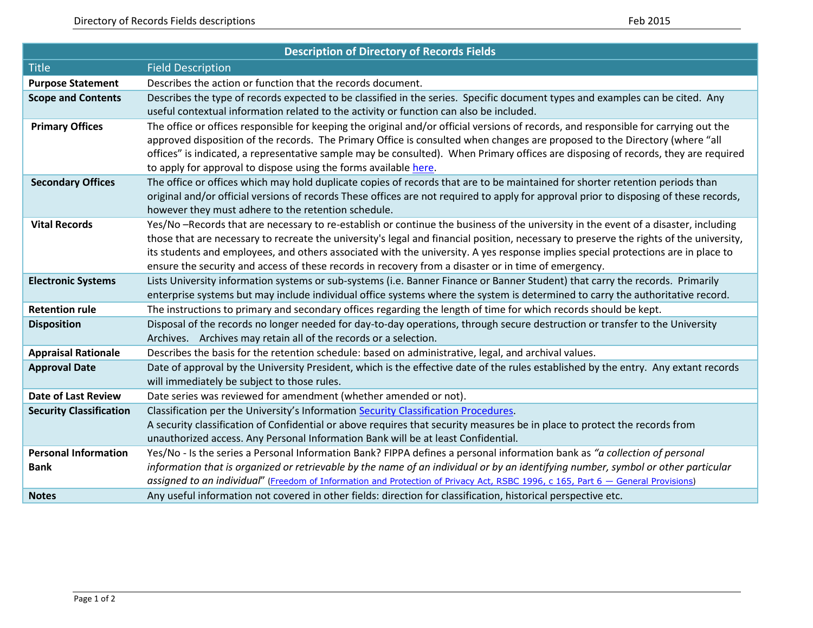| <b>Description of Directory of Records Fields</b> |                                                                                                                                                                                                                                                                         |  |  |  |
|---------------------------------------------------|-------------------------------------------------------------------------------------------------------------------------------------------------------------------------------------------------------------------------------------------------------------------------|--|--|--|
| <b>Title</b>                                      | <b>Field Description</b>                                                                                                                                                                                                                                                |  |  |  |
| <b>Purpose Statement</b>                          | Describes the action or function that the records document.                                                                                                                                                                                                             |  |  |  |
| <b>Scope and Contents</b>                         | Describes the type of records expected to be classified in the series. Specific document types and examples can be cited. Any                                                                                                                                           |  |  |  |
|                                                   | useful contextual information related to the activity or function can also be included.                                                                                                                                                                                 |  |  |  |
| <b>Primary Offices</b>                            | The office or offices responsible for keeping the original and/or official versions of records, and responsible for carrying out the                                                                                                                                    |  |  |  |
|                                                   | approved disposition of the records. The Primary Office is consulted when changes are proposed to the Directory (where "all                                                                                                                                             |  |  |  |
|                                                   | offices" is indicated, a representative sample may be consulted). When Primary offices are disposing of records, they are required                                                                                                                                      |  |  |  |
| <b>Secondary Offices</b>                          | to apply for approval to dispose using the forms available here.                                                                                                                                                                                                        |  |  |  |
|                                                   | The office or offices which may hold duplicate copies of records that are to be maintained for shorter retention periods than<br>original and/or official versions of records These offices are not required to apply for approval prior to disposing of these records, |  |  |  |
|                                                   | however they must adhere to the retention schedule.                                                                                                                                                                                                                     |  |  |  |
| <b>Vital Records</b>                              | Yes/No-Records that are necessary to re-establish or continue the business of the university in the event of a disaster, including                                                                                                                                      |  |  |  |
|                                                   | those that are necessary to recreate the university's legal and financial position, necessary to preserve the rights of the university,                                                                                                                                 |  |  |  |
|                                                   | its students and employees, and others associated with the university. A yes response implies special protections are in place to                                                                                                                                       |  |  |  |
|                                                   | ensure the security and access of these records in recovery from a disaster or in time of emergency.                                                                                                                                                                    |  |  |  |
| <b>Electronic Systems</b>                         | Lists University information systems or sub-systems (i.e. Banner Finance or Banner Student) that carry the records. Primarily                                                                                                                                           |  |  |  |
|                                                   | enterprise systems but may include individual office systems where the system is determined to carry the authoritative record.                                                                                                                                          |  |  |  |
| <b>Retention rule</b>                             | The instructions to primary and secondary offices regarding the length of time for which records should be kept.                                                                                                                                                        |  |  |  |
| <b>Disposition</b>                                | Disposal of the records no longer needed for day-to-day operations, through secure destruction or transfer to the University                                                                                                                                            |  |  |  |
|                                                   | Archives. Archives may retain all of the records or a selection.                                                                                                                                                                                                        |  |  |  |
| <b>Appraisal Rationale</b>                        | Describes the basis for the retention schedule: based on administrative, legal, and archival values.                                                                                                                                                                    |  |  |  |
| <b>Approval Date</b>                              | Date of approval by the University President, which is the effective date of the rules established by the entry. Any extant records                                                                                                                                     |  |  |  |
|                                                   | will immediately be subject to those rules.                                                                                                                                                                                                                             |  |  |  |
| <b>Date of Last Review</b>                        | Date series was reviewed for amendment (whether amended or not).                                                                                                                                                                                                        |  |  |  |
| <b>Security Classification</b>                    | Classification per the University's Information Security Classification Procedures.                                                                                                                                                                                     |  |  |  |
|                                                   | A security classification of Confidential or above requires that security measures be in place to protect the records from<br>unauthorized access. Any Personal Information Bank will be at least Confidential.                                                         |  |  |  |
| <b>Personal Information</b>                       | Yes/No - Is the series a Personal Information Bank? FIPPA defines a personal information bank as "a collection of personal                                                                                                                                              |  |  |  |
| <b>Bank</b>                                       | information that is organized or retrievable by the name of an individual or by an identifying number, symbol or other particular                                                                                                                                       |  |  |  |
|                                                   | assigned to an individual" (Freedom of Information and Protection of Privacy Act, RSBC 1996, c 165, Part 6 - General Provisions)                                                                                                                                        |  |  |  |
| <b>Notes</b>                                      | Any useful information not covered in other fields: direction for classification, historical perspective etc.                                                                                                                                                           |  |  |  |